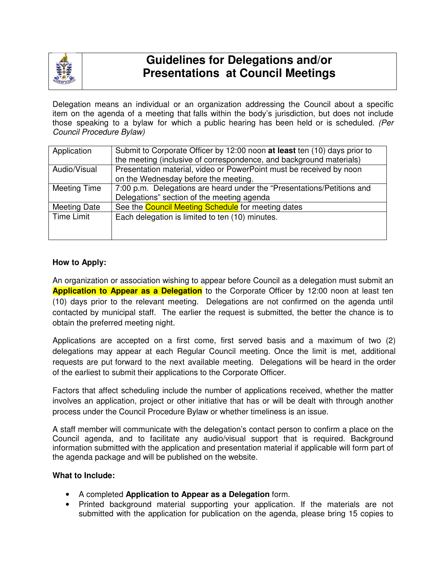

# **Guidelines for Delegations and/or Presentations at Council Meetings**

Delegation means an individual or an organization addressing the Council about a specific item on the agenda of a meeting that falls within the body's jurisdiction, but does not include those speaking to a bylaw for which a public hearing has been held or is scheduled. (Per Council Procedure Bylaw)

| Application         | Submit to Corporate Officer by 12:00 noon at least ten (10) days prior to<br>the meeting (inclusive of correspondence, and background materials) |
|---------------------|--------------------------------------------------------------------------------------------------------------------------------------------------|
|                     |                                                                                                                                                  |
| Audio/Visual        | Presentation material, video or PowerPoint must be received by noon                                                                              |
|                     | on the Wednesday before the meeting.                                                                                                             |
| Meeting Time        | 7:00 p.m. Delegations are heard under the "Presentations/Petitions and                                                                           |
|                     | Delegations" section of the meeting agenda                                                                                                       |
| <b>Meeting Date</b> | See the <b>Council Meeting Schedule</b> for meeting dates                                                                                        |
| Time Limit          | Each delegation is limited to ten (10) minutes.                                                                                                  |
|                     |                                                                                                                                                  |
|                     |                                                                                                                                                  |

# **How to Apply:**

An organization or association wishing to appear before Council as a delegation must submit an **Application to Appear as a Delegation** to the Corporate Officer by 12:00 noon at least ten (10) days prior to the relevant meeting. Delegations are not confirmed on the agenda until contacted by municipal staff. The earlier the request is submitted, the better the chance is to obtain the preferred meeting night.

Applications are accepted on a first come, first served basis and a maximum of two (2) delegations may appear at each Regular Council meeting. Once the limit is met, additional requests are put forward to the next available meeting. Delegations will be heard in the order of the earliest to submit their applications to the Corporate Officer.

Factors that affect scheduling include the number of applications received, whether the matter involves an application, project or other initiative that has or will be dealt with through another process under the Council Procedure Bylaw or whether timeliness is an issue.

A staff member will communicate with the delegation's contact person to confirm a place on the Council agenda, and to facilitate any audio/visual support that is required. Background information submitted with the application and presentation material if applicable will form part of the agenda package and will be published on the website.

#### **What to Include:**

- A completed **Application to Appear as a Delegation** form.
- Printed background material supporting your application. If the materials are not submitted with the application for publication on the agenda, please bring 15 copies to